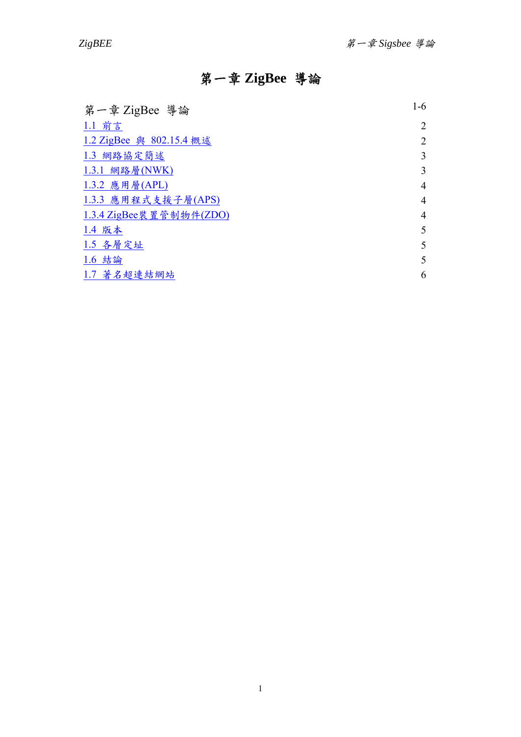# 第一章 **ZigBee** 導論

<span id="page-0-0"></span>

| 第一章 ZigBee 導論            | $1-6$          |
|--------------------------|----------------|
| 1.1 前言                   | 2              |
| 1.2 ZigBee 與 802.15.4 概述 | 2              |
| 1.3 網路協定簡述               | 3              |
| 1.3.1 網路層(NWK)           | 3              |
| 1.3.2 應用層(APL)           | $\overline{4}$ |
| 1.3.3 應用程式支援子層(APS)      | 4              |
| 1.3.4 ZigBee装 置管制物件(ZDO) | $\overline{4}$ |
| 1.4 版本                   | 5              |
| 1.5 各層定址                 | 5              |
| 1.6 結論                   | 5              |
| 1.7 著名超連結網站              | 6              |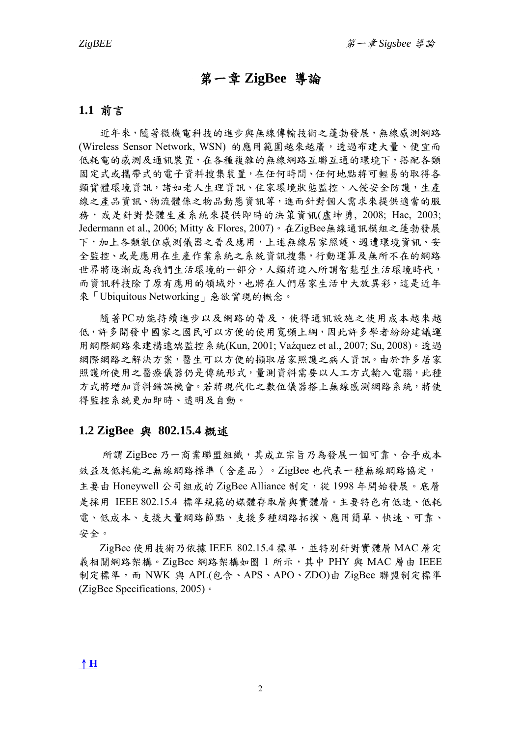# 第一章 **ZigBee** 導論

# <span id="page-1-0"></span>**1.1** 前言

近年來,隨著微機電科技的進步與無線傳輸技術之蓬勃發展,無線感測網路 (Wireless Sensor Network, WSN) 的應用範圍越來越廣,透過布建大量、便宜而 低耗電的感測及通訊裝置,在各種複雜的無線網路互聯互通的環境下,搭配各類 固定式或攜帶式的電子資料搜集裝置,在任何時間、任何地點將可輕易的取得各 類實體環境資訊,諸如老人生理資訊、住家環境狀態監控、入侵安全防護,生產 線之產品資訊、物流體係之物品動態資訊等,進而針對個人需求來提供適當的服 務,或是針對整體生產系統來提供即時的決策資訊(盧坤勇, 2008; Hac, 2003; Jedermann et al., 2006; Mitty & Flores, 2007)。在ZigBee無線通訊模組之蓬勃發展 下,加上各類數位感測儀器之普及應用,上述無線居家照護、週遭環境資訊、安 全監控、或是應用在生產作業系統之系統資訊搜集,行動運算及無所不在的網路 世界將逐漸成為我們生活環境的一部分,人類將進入所謂智慧型生活環境時代, 而資訊科技除了原有應用的領域外,也將在人們居家生活中大放異彩,這是近年 來「[Ubiquitous Network](http://www.eettaiwan.com/search/keyword.php?keywords=Ubiquitous+Network&ACTION_TYPE=SEARCH&operation=PHRASE&search_mod=advanced§ion=ALL&encode=1&sub_form=quickform)ing」急欲實現的概念。

隨著PC功能持續進步以及網路的普及,使得通訊設施之使用成本越來越 低,許多開發中國家之國民可以方便的使用寬頻上網,因此許多學者紛紛建議運 用網際網路來建構遠端監控系統(Kun, 2001; Vaźquez et al., 2007; Su, 2008)。透過 網際網路之解決方案,醫生可以方便的擷取居家照護之病人資訊。由於許多居家 照護所使用之醫療儀器仍是傳統形式,量測資料需要以人工方式輸入電腦,此種 方式將增加資料錯誤機會。若將現代化之數位儀器搭上無線感測網路系統,將使 得監控系統更加即時、透明及自動。

## **1.2 ZigBee** 與 **802.15.4** 概述

所謂 ZigBee 乃一商業聯盟組織,其成立宗旨乃為發展一個可靠、合乎成本 效益及低耗能之無線網路標準(含產品)。ZigBee 也代表一種無線網路協定, 主要由 Honeywell 公司組成的 ZigBee Alliance 制定,從 1998年開始發展。底層 是採用 IEEE 802.15.4 標準規範的媒體存取層與實體層。主要特色有低速、低耗 電、低成本、支援的點、支援多種網路拓撲、應用簡單、快速、可靠、 安全。

ZigBee 使用技術乃依據 IEEE 802.15.4 標準,並特別針對實體層 MAC 層定 義相關網路架構。ZigBee 網路架構如圖 1 所示,其中 PHY 與 MAC 層由 IEEE 制定標準,而 NWK 與 APL(包含、APS、APO、ZDO)由 ZigBee 聯盟制定標準 (ZigBee Specifications, 2005)。

[↑](#page-0-0)**[H](#page-0-0)**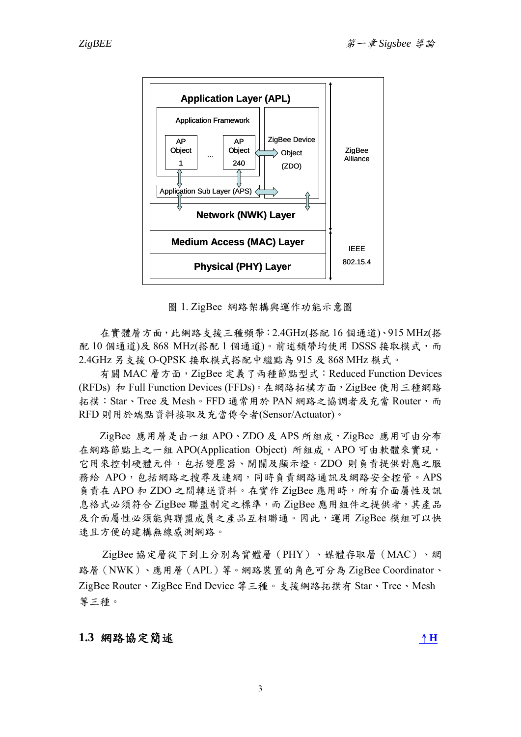<span id="page-2-0"></span>

圖 1. ZigBee 網路架構與運作功能示意圖

在實體層方面,此網路支援三種頻帶:2.4GHz(搭配 16 個通道)、915 MHz(搭 配 10 個通道)及 868 MHz(搭配 1 個通道)。前述頻帶均使用 DSSS 接取模式,而 2.4GHz 另支援 O-QPSK 接取模式搭配中繼點為 915 及 868 MHz 模式。

有關 MAC 層方面, ZigBee 定義了兩種節點型式: Reduced Function Devices (RFDs) 和 Full Function Devices (FFDs)。在網路拓樸方面, ZigBee 使用三種網路 拓樸: Star、Tree 及 Mesh。FFD 通常用於 PAN 網路之協調者及充當 Router, 而 RFD 則用於端點資料接取及充當傳令者(Sensor/Actuator)。

ZigBee 應用層是由一組 APO、ZDO 及 APS 所組成,ZigBee 應用可由分布 在網路節點上之一組 APO(Application Object) 所組成,APO 可由軟體來實現, 它用來控制硬體元件,包括變壓器、開關及顯示燈。ZDO 則負責提供對應之服 務給 APO,包括網路之搜尋及連網,同時負責網路通訊及網路安全控管。APS 負責在 APO 和 ZDO 之間轉送資料。在實作 ZigBee 應用時,所有介面屬性及訊 息格式必須符合 ZigBee 聯盟制定之標準,而 ZigBee 應用組件之提供者,其產品 及介面屬性必須能與聯盟成員之產品互相聯通。因此,運用 ZigBee 模組可以快 速且方便的建構無線感測網路。

ZigBee 協定層從下到上分別為實體層(PHY)、媒體存取層(MAC)、網 路層(NWK)、應用層(APL)等。網路裝置的角色可分為 ZigBee Coordinator、 ZigBee Router、ZigBee End Device 等三種。支援網路拓撲有 Star、Tree、Mesh 等三種。

# **1.3** 網路協定簡述[↑](#page-0-0)**[H](#page-0-0)**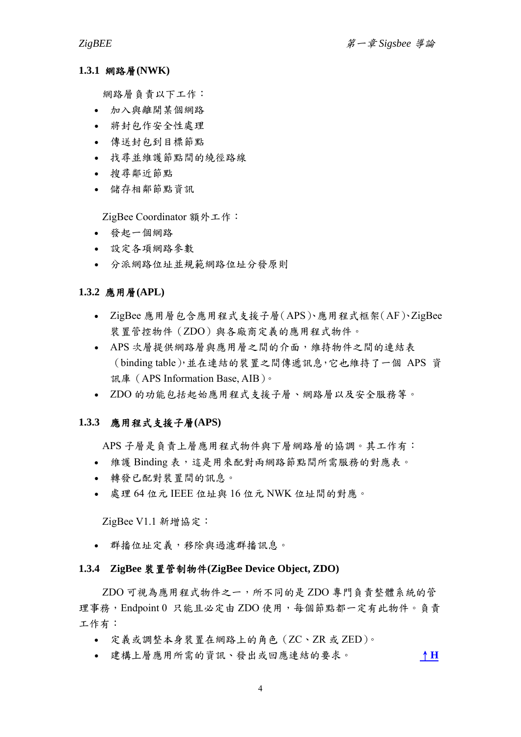#### <span id="page-3-0"></span>**1.3.1** 網路層**(NWK)**

網路層負責以下工作:

- 加入與離開某個網路
- 將封包作安全性處理
- 傳送封包到目標節點
- 找尋並維護節點間的繞徑路線
- 搜尋鄰近節點
- 儲存相鄰節點資訊

ZigBee Coordinator 額外工作:

- 發起一個網路
- 設定各項網路參數
- 分派網路位址並規範網路位址分發原則

#### **1.3.2** 應用層**(APL)**

- ZigBee 應用層包含應用程式支援子層(APS)、應用程式框架(AF)、ZigBee 裝置管控物件(ZDO)與各廠商定義的應用程式物件。
- APS 次層提供網路層與應用層之間的介面,維持物件之間的連結表 (binding table),並在連結的裝置之間傳遞訊息,它也維持了一個 APS 資 訊庫(APS Information Base, AIB)。
- ZDO 的功能包括起始應用程式支援子層、網路層以及安全服務等。

#### **1.3.3** 應用程式支援子層**(APS)**

APS 子層是負責上層應用程式物件與下層網路層的協調。其工作有:

- 維護 Binding 表,這是用來配對兩網路節點間所需服務的對應表。
- 轉發已配對裝置間的訊息。
- 處理 64 位元 IEEE 位址與 16 位元 NWK 位址間的對應。

ZigBee V1.1 新增協定:

• 群播位址定義,移除與過濾群播訊息。

#### **1.3.4 ZigBee** 裝置管制物件**(ZigBee Device Object, ZDO)**

ZDO 可視為應用程式物件之一,所不同的是 ZDO 專門負責整體系統的管 理事務,Endpoint 0 只能且必定由 ZDO 使用,每個節點都一定有此物件。負責 工作有:

- 定義或調整本身裝置在網路上的角色(ZC、ZR 或 ZED)。
- 建構上層應用所需的資訊、發出或回應連結的要求。 [↑](#page-0-0)**[H](#page-0-0)**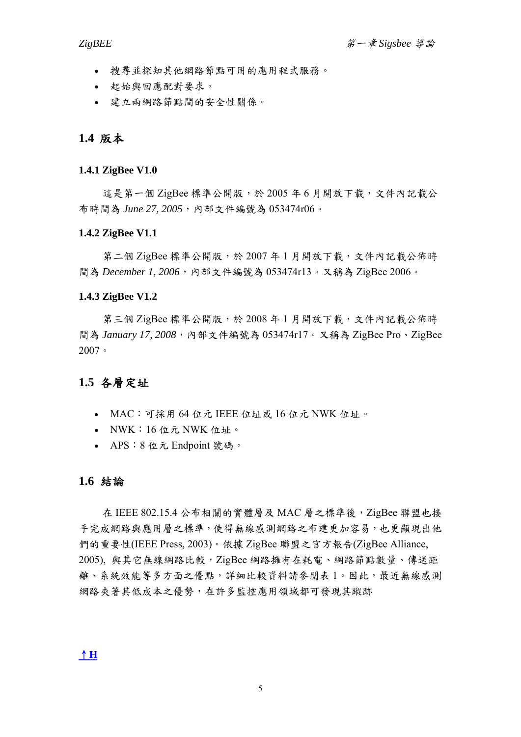- <span id="page-4-0"></span>• 搜尋並探知其他網路節點可用的應用程式服務。
- 起始與回應配對要求。
- 建立兩網路節點間的安全性關係。

## **1.4** 版本

#### **1.4.1 ZigBee V1.0**

這是第一個 ZigBee 標準公開版,於 2005年6月開放下載,文件內記載公 布時間為 *June 27, 2005*,內部文件編號為 053474r06。

#### **1.4.2 ZigBee V1.1**

第二個 ZigBee 標準公開版,於 2007年1月開放下載,文件內記載公佈時 間為 *December 1, 2006*,內部文件編號為 053474r13。又稱為 ZigBee 2006。

#### **1.4.3 ZigBee V1.2**

第三個 ZigBee 標準公開版,於 2008 年 1 月開放下載,文件內記載公佈時 間為 *January 17, 2008*,內部文件編號為 053474r17。又稱為 ZigBee Pro、ZigBee 2007。

# **1.5** 各層定址

- MAC:可採用 64 位元 IEEE 位址或 16 位元 NWK 位址。
- NWK:16 位元 NWK 位址。
- APS:8 位元 Endpoint 號碼。

## **1.6** 結論

在 IEEE 802.15.4 公布相關的實體層及 MAC 層之標準後, ZigBee 聯盟也接 手完成網路與應用層之標準,使得無線感測網路之布建更加容易,也更顯現出他 們的重要性(IEEE Press, 2003)。依據 ZigBee 聯盟之官方報告(ZigBee Alliance, 2005), 與其它無線網路比較,ZigBee 網路擁有在耗電、網路節點數量、傳送距 離、系統效能等多方面之優點,詳細比較資料請參閱表1。因此,最近無線感測 網路夾著其低成本之優勢,在許多監控應用領域都可發現其蹤跡

#### [↑](#page-0-0)**[H](#page-0-0)**